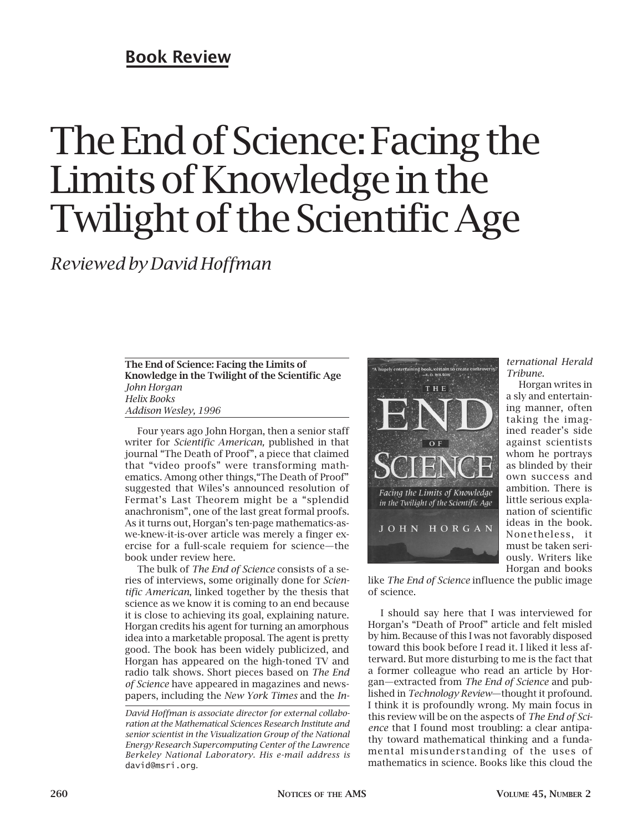# **Book Review**

# The End of Science: Facing the Limits of Knowledge in the Twilight of the Scientific Age

*Reviewed by David Hoffman*

**The End of Science: Facing the Limits of Knowledge in the Twilight of the Scientific Age** *John Horgan Helix Books Addison Wesley, 1996*

Four years ago John Horgan, then a senior staff writer for *Scientific American,* published in that journal "The Death of Proof", a piece that claimed that "video proofs" were transforming mathematics. Among other things,"The Death of Proof" suggested that Wiles's announced resolution of Fermat's Last Theorem might be a "splendid anachronism", one of the last great formal proofs. As it turns out, Horgan's ten-page mathematics-aswe-knew-it-is-over article was merely a finger exercise for a full-scale requiem for science—the book under review here.

The bulk of *The End of Science* consists of a series of interviews, some originally done for *Scientific American*, linked together by the thesis that science as we know it is coming to an end because it is close to achieving its goal, explaining nature. Horgan credits his agent for turning an amorphous idea into a marketable proposal. The agent is pretty good. The book has been widely publicized, and Horgan has appeared on the high-toned TV and radio talk shows. Short pieces based on *The End of Science* have appeared in magazines and newspapers, including the *New York Times* and the *In-*

*David Hoffman is associate director for external collaboration at the Mathematical Sciences Research Institute and senior scientist in the Visualization Group of the National Energy Research Supercomputing Center of the Lawrence Berkeley National Laboratory. His e-mail address is* david@msri.org*.*



*ternational Herald Tribune.*

Horgan writes in a sly and entertaining manner, often taking the imagined reader's side against scientists whom he portrays as blinded by their own success and ambition. There is little serious explanation of scientific ideas in the book. Nonetheless, it must be taken seriously. Writers like Horgan and books

like *The End of Science* influence the public image of science.

I should say here that I was interviewed for Horgan's "Death of Proof" article and felt misled by him. Because of this I was not favorably disposed toward this book before I read it. I liked it less afterward. But more disturbing to me is the fact that a former colleague who read an article by Horgan—extracted from *The End of Science* and published in *Technology Review*—thought it profound. I think it is profoundly wrong. My main focus in this review will be on the aspects of *The End of Science* that I found most troubling: a clear antipathy toward mathematical thinking and a fundamental misunderstanding of the uses of mathematics in science. Books like this cloud the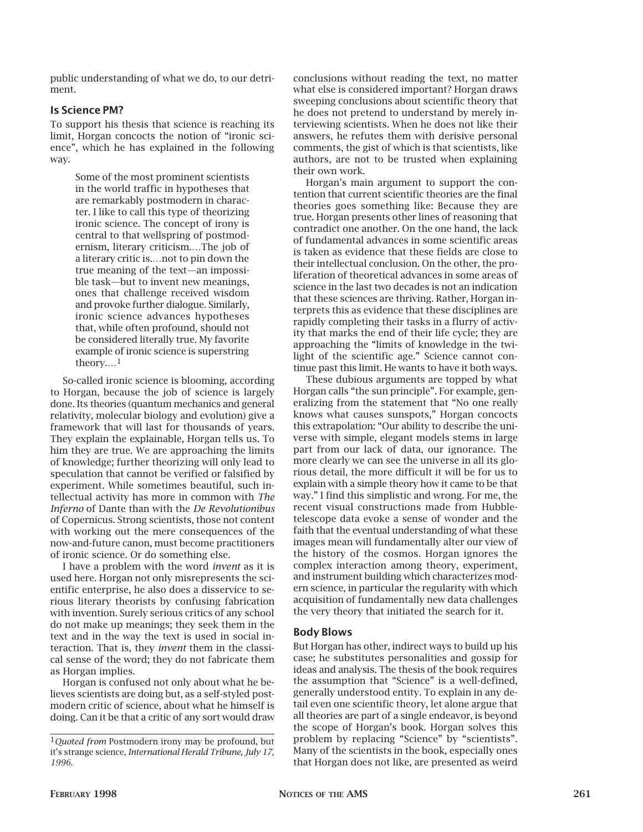public understanding of what we do, to our detriment.

### **Is Science PM?**

To support his thesis that science is reaching its limit, Horgan concocts the notion of "ironic science", which he has explained in the following way.

> Some of the most prominent scientists in the world traffic in hypotheses that are remarkably postmodern in character. I like to call this type of theorizing ironic science. The concept of irony is central to that wellspring of postmodernism, literary criticism.…The job of a literary critic is.…not to pin down the true meaning of the text—an impossible task—but to invent new meanings, ones that challenge received wisdom and provoke further dialogue. Similarly, ironic science advances hypotheses that, while often profound, should not be considered literally true. My favorite example of ironic science is superstring theory.…1

So-called ironic science is blooming, according to Horgan, because the job of science is largely done. Its theories (quantum mechanics and general relativity, molecular biology and evolution) give a framework that will last for thousands of years. They explain the explainable, Horgan tells us. To him they are true. We are approaching the limits of knowledge; further theorizing will only lead to speculation that cannot be verified or falsified by experiment. While sometimes beautiful, such intellectual activity has more in common with *The Inferno* of Dante than with the *De Revolutionibus* of Copernicus. Strong scientists, those not content with working out the mere consequences of the now-and-future canon, must become practitioners of ironic science. Or do something else.

I have a problem with the word *invent* as it is used here. Horgan not only misrepresents the scientific enterprise, he also does a disservice to serious literary theorists by confusing fabrication with invention. Surely serious critics of any school do not make up meanings; they seek them in the text and in the way the text is used in social interaction. That is, they *invent* them in the classical sense of the word; they do not fabricate them as Horgan implies.

Horgan is confused not only about what he believes scientists are doing but, as a self-styled postmodern critic of science, about what he himself is doing. Can it be that a critic of any sort would draw conclusions without reading the text, no matter what else is considered important? Horgan draws sweeping conclusions about scientific theory that he does not pretend to understand by merely interviewing scientists. When he does not like their answers, he refutes them with derisive personal comments, the gist of which is that scientists, like authors, are not to be trusted when explaining their own work.

Horgan's main argument to support the contention that current scientific theories are the final theories goes something like: Because they are true. Horgan presents other lines of reasoning that contradict one another. On the one hand, the lack of fundamental advances in some scientific areas is taken as evidence that these fields are close to their intellectual conclusion. On the other, the proliferation of theoretical advances in some areas of science in the last two decades is not an indication that these sciences are thriving. Rather, Horgan interprets this as evidence that these disciplines are rapidly completing their tasks in a flurry of activity that marks the end of their life cycle; they are approaching the "limits of knowledge in the twilight of the scientific age." Science cannot continue past this limit. He wants to have it both ways.

These dubious arguments are topped by what Horgan calls "the sun principle". For example, generalizing from the statement that "No one really knows what causes sunspots," Horgan concocts this extrapolation: "Our ability to describe the universe with simple, elegant models stems in large part from our lack of data, our ignorance. The more clearly we can see the universe in all its glorious detail, the more difficult it will be for us to explain with a simple theory how it came to be that way." I find this simplistic and wrong. For me, the recent visual constructions made from Hubbletelescope data evoke a sense of wonder and the faith that the eventual understanding of what these images mean will fundamentally alter our view of the history of the cosmos. Horgan ignores the complex interaction among theory, experiment, and instrument building which characterizes modern science, in particular the regularity with which acquisition of fundamentally new data challenges the very theory that initiated the search for it.

# **Body Blows**

But Horgan has other, indirect ways to build up his case; he substitutes personalities and gossip for ideas and analysis. The thesis of the book requires the assumption that "Science" is a well-defined, generally understood entity. To explain in any detail even one scientific theory, let alone argue that all theories are part of a single endeavor, is beyond the scope of Horgan's book. Horgan solves this problem by replacing "Science" by "scientists". Many of the scientists in the book, especially ones that Horgan does not like, are presented as weird

<sup>1</sup>*Quoted from* Postmodern irony may be profound, but it's strange science, *International Herald Tribune, July 17, 1996.*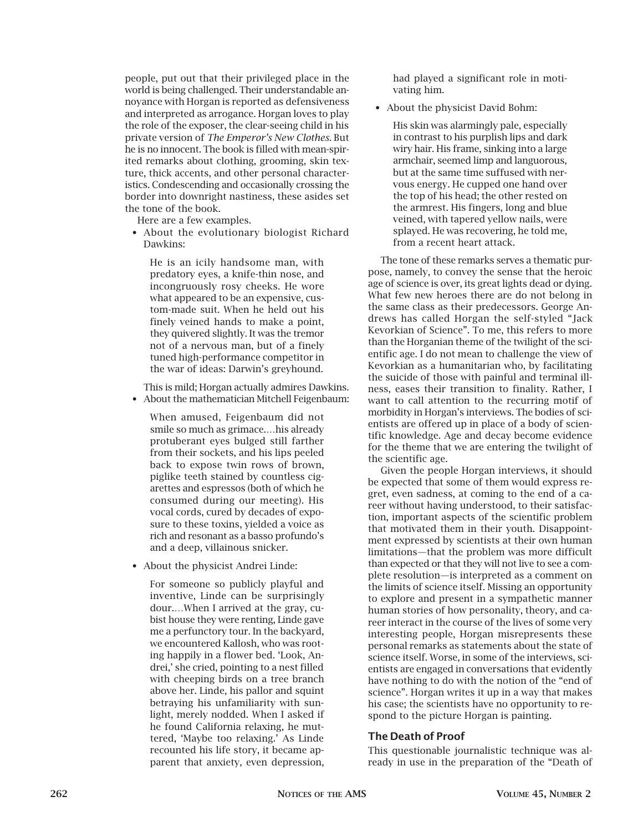people, put out that their privileged place in the world is being challenged. Their understandable annoyance with Horgan is reported as defensiveness and interpreted as arrogance. Horgan loves to play the role of the exposer, the clear-seeing child in his private version of *The Emperor's New Clothes.* But he is no innocent. The book is filled with mean-spirited remarks about clothing, grooming, skin texture, thick accents, and other personal characteristics. Condescending and occasionally crossing the border into downright nastiness, these asides set the tone of the book.

Here are a few examples.

• About the evolutionary biologist Richard Dawkins:

He is an icily handsome man, with predatory eyes, a knife-thin nose, and incongruously rosy cheeks. He wore what appeared to be an expensive, custom-made suit. When he held out his finely veined hands to make a point, they quivered slightly. It was the tremor not of a nervous man, but of a finely tuned high-performance competitor in the war of ideas: Darwin's greyhound.

This is mild; Horgan actually admires Dawkins. • About the mathematician Mitchell Feigenbaum:

When amused, Feigenbaum did not smile so much as grimace.…his already protuberant eyes bulged still farther from their sockets, and his lips peeled back to expose twin rows of brown, piglike teeth stained by countless cigarettes and espressos (both of which he consumed during our meeting). His vocal cords, cured by decades of exposure to these toxins, yielded a voice as rich and resonant as a basso profundo's and a deep, villainous snicker.

• About the physicist Andrei Linde:

For someone so publicly playful and inventive, Linde can be surprisingly dour.…When I arrived at the gray, cubist house they were renting, Linde gave me a perfunctory tour. In the backyard, we encountered Kallosh, who was rooting happily in a flower bed. 'Look, Andrei,' she cried, pointing to a nest filled with cheeping birds on a tree branch above her. Linde, his pallor and squint betraying his unfamiliarity with sunlight, merely nodded. When I asked if he found California relaxing, he muttered, 'Maybe too relaxing.' As Linde recounted his life story, it became apparent that anxiety, even depression, had played a significant role in motivating him.

• About the physicist David Bohm:

His skin was alarmingly pale, especially in contrast to his purplish lips and dark wiry hair. His frame, sinking into a large armchair, seemed limp and languorous, but at the same time suffused with nervous energy. He cupped one hand over the top of his head; the other rested on the armrest. His fingers, long and blue veined, with tapered yellow nails, were splayed. He was recovering, he told me, from a recent heart attack.

The tone of these remarks serves a thematic purpose, namely, to convey the sense that the heroic age of science is over, its great lights dead or dying. What few new heroes there are do not belong in the same class as their predecessors. George Andrews has called Horgan the self-styled "Jack Kevorkian of Science". To me, this refers to more than the Horganian theme of the twilight of the scientific age. I do not mean to challenge the view of Kevorkian as a humanitarian who, by facilitating the suicide of those with painful and terminal illness, eases their transition to finality. Rather, I want to call attention to the recurring motif of morbidity in Horgan's interviews. The bodies of scientists are offered up in place of a body of scientific knowledge. Age and decay become evidence for the theme that we are entering the twilight of the scientific age.

Given the people Horgan interviews, it should be expected that some of them would express regret, even sadness, at coming to the end of a career without having understood, to their satisfaction, important aspects of the scientific problem that motivated them in their youth. Disappointment expressed by scientists at their own human limitations—that the problem was more difficult than expected or that they will not live to see a complete resolution—is interpreted as a comment on the limits of science itself. Missing an opportunity to explore and present in a sympathetic manner human stories of how personality, theory, and career interact in the course of the lives of some very interesting people, Horgan misrepresents these personal remarks as statements about the state of science itself. Worse, in some of the interviews, scientists are engaged in conversations that evidently have nothing to do with the notion of the "end of science". Horgan writes it up in a way that makes his case; the scientists have no opportunity to respond to the picture Horgan is painting.

# **The Death of Proof**

This questionable journalistic technique was already in use in the preparation of the "Death of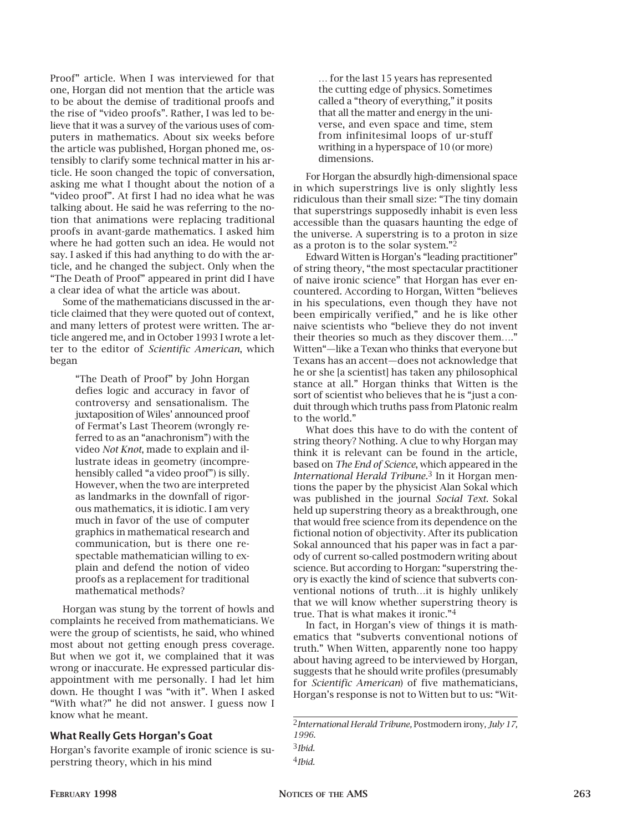Proof" article. When I was interviewed for that one, Horgan did not mention that the article was to be about the demise of traditional proofs and the rise of "video proofs". Rather, I was led to believe that it was a survey of the various uses of computers in mathematics. About six weeks before the article was published, Horgan phoned me, ostensibly to clarify some technical matter in his article. He soon changed the topic of conversation, asking me what I thought about the notion of a "video proof". At first I had no idea what he was talking about. He said he was referring to the notion that animations were replacing traditional proofs in avant-garde mathematics. I asked him where he had gotten such an idea. He would not say. I asked if this had anything to do with the article, and he changed the subject. Only when the "The Death of Proof" appeared in print did I have a clear idea of what the article was about.

Some of the mathematicians discussed in the article claimed that they were quoted out of context, and many letters of protest were written. The article angered me, and in October 1993 I wrote a letter to the editor of *Scientific American*, which began

> "The Death of Proof" by John Horgan defies logic and accuracy in favor of controversy and sensationalism. The juxtaposition of Wiles' announced proof of Fermat's Last Theorem (wrongly referred to as an "anachronism") with the video *Not Knot*, made to explain and illustrate ideas in geometry (incomprehensibly called "a video proof") is silly. However, when the two are interpreted as landmarks in the downfall of rigorous mathematics, it is idiotic. I am very much in favor of the use of computer graphics in mathematical research and communication, but is there one respectable mathematician willing to explain and defend the notion of video proofs as a replacement for traditional mathematical methods?

Horgan was stung by the torrent of howls and complaints he received from mathematicians. We were the group of scientists, he said, who whined most about not getting enough press coverage. But when we got it, we complained that it was wrong or inaccurate. He expressed particular disappointment with me personally. I had let him down. He thought I was "with it". When I asked "With what?" he did not answer. I guess now I know what he meant.

### **What Really Gets Horgan's Goat**

Horgan's favorite example of ironic science is superstring theory, which in his mind

… for the last 15 years has represented the cutting edge of physics. Sometimes called a "theory of everything," it posits that all the matter and energy in the universe, and even space and time, stem from infinitesimal loops of ur-stuff writhing in a hyperspace of 10 (or more) dimensions.

For Horgan the absurdly high-dimensional space in which superstrings live is only slightly less ridiculous than their small size: "The tiny domain that superstrings supposedly inhabit is even less accessible than the quasars haunting the edge of the universe. A superstring is to a proton in size as a proton is to the solar system."2

Edward Witten is Horgan's "leading practitioner" of string theory, "the most spectacular practitioner of naive ironic science" that Horgan has ever encountered. According to Horgan, Witten "believes in his speculations, even though they have not been empirically verified," and he is like other naive scientists who "believe they do not invent their theories so much as they discover them…." Witten"—like a Texan who thinks that everyone but Texans has an accent—does not acknowledge that he or she [a scientist] has taken any philosophical stance at all." Horgan thinks that Witten is the sort of scientist who believes that he is "just a conduit through which truths pass from Platonic realm to the world."

What does this have to do with the content of string theory? Nothing. A clue to why Horgan may think it is relevant can be found in the article, based on *The End of Science*, which appeared in the *International Herald Tribune.*3 In it Horgan mentions the paper by the physicist Alan Sokal which was published in the journal *Social Text*. Sokal held up superstring theory as a breakthrough, one that would free science from its dependence on the fictional notion of objectivity. After its publication Sokal announced that his paper was in fact a parody of current so-called postmodern writing about science. But according to Horgan: "superstring theory is exactly the kind of science that subverts conventional notions of truth…it is highly unlikely that we will know whether superstring theory is true. That is what makes it ironic."4

In fact, in Horgan's view of things it is mathematics that "subverts conventional notions of truth." When Witten, apparently none too happy about having agreed to be interviewed by Horgan, suggests that he should write profiles (presumably for *Scientific American*) of five mathematicians, Horgan's response is not to Witten but to us: "Wit-

4*Ibid.*

<sup>2</sup>*International Herald Tribune,* Postmodern irony*, July 17, 1996.* 3*Ibid.*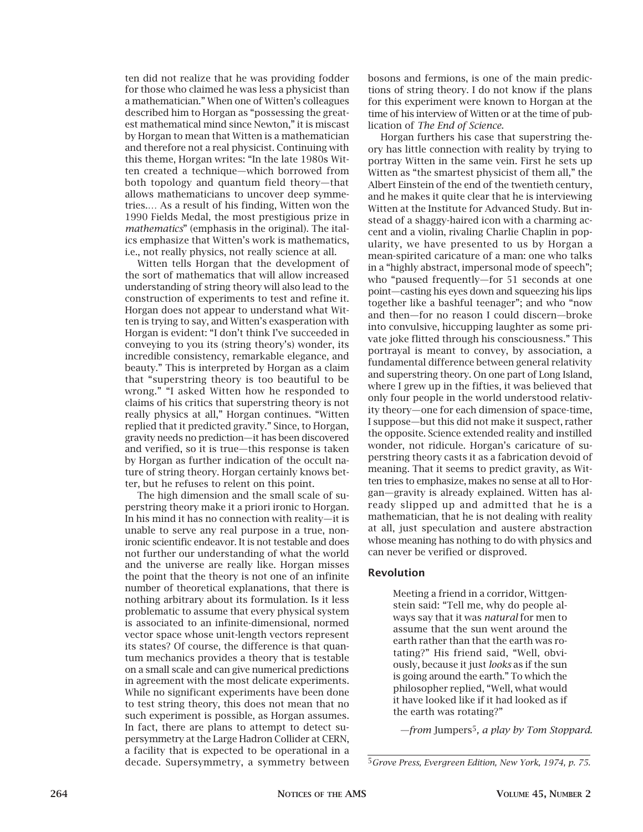ten did not realize that he was providing fodder for those who claimed he was less a physicist than a mathematician." When one of Witten's colleagues described him to Horgan as "possessing the greatest mathematical mind since Newton," it is miscast by Horgan to mean that Witten is a mathematician and therefore not a real physicist. Continuing with this theme, Horgan writes: "In the late 1980s Witten created a technique—which borrowed from both topology and quantum field theory—that allows mathematicians to uncover deep symmetries.… As a result of his finding, Witten won the 1990 Fields Medal, the most prestigious prize in *mathematics*" (emphasis in the original). The italics emphasize that Witten's work is mathematics, i.e., not really physics, not really science at all.

Witten tells Horgan that the development of the sort of mathematics that will allow increased understanding of string theory will also lead to the construction of experiments to test and refine it. Horgan does not appear to understand what Witten is trying to say, and Witten's exasperation with Horgan is evident: "I don't think I've succeeded in conveying to you its (string theory's) wonder, its incredible consistency, remarkable elegance, and beauty." This is interpreted by Horgan as a claim that "superstring theory is too beautiful to be wrong." "I asked Witten how he responded to claims of his critics that superstring theory is not really physics at all," Horgan continues. "Witten replied that it predicted gravity." Since, to Horgan, gravity needs no prediction—it has been discovered and verified, so it is true—this response is taken by Horgan as further indication of the occult nature of string theory. Horgan certainly knows better, but he refuses to relent on this point.

The high dimension and the small scale of superstring theory make it a priori ironic to Horgan. In his mind it has no connection with reality—it is unable to serve any real purpose in a true, nonironic scientific endeavor. It is not testable and does not further our understanding of what the world and the universe are really like. Horgan misses the point that the theory is not one of an infinite number of theoretical explanations, that there is nothing arbitrary about its formulation. Is it less problematic to assume that every physical system is associated to an infinite-dimensional, normed vector space whose unit-length vectors represent its states? Of course, the difference is that quantum mechanics provides a theory that is testable on a small scale and can give numerical predictions in agreement with the most delicate experiments. While no significant experiments have been done to test string theory, this does not mean that no such experiment is possible, as Horgan assumes. In fact, there are plans to attempt to detect supersymmetry at the Large Hadron Collider at CERN, a facility that is expected to be operational in a decade. Supersymmetry, a symmetry between bosons and fermions, is one of the main predictions of string theory. I do not know if the plans for this experiment were known to Horgan at the time of his interview of Witten or at the time of publication of *The End of Science*.

Horgan furthers his case that superstring theory has little connection with reality by trying to portray Witten in the same vein. First he sets up Witten as "the smartest physicist of them all," the Albert Einstein of the end of the twentieth century, and he makes it quite clear that he is interviewing Witten at the Institute for Advanced Study. But instead of a shaggy-haired icon with a charming accent and a violin, rivaling Charlie Chaplin in popularity, we have presented to us by Horgan a mean-spirited caricature of a man: one who talks in a "highly abstract, impersonal mode of speech"; who "paused frequently—for 51 seconds at one point—casting his eyes down and squeezing his lips together like a bashful teenager"; and who "now and then—for no reason I could discern—broke into convulsive, hiccupping laughter as some private joke flitted through his consciousness." This portrayal is meant to convey, by association, a fundamental difference between general relativity and superstring theory. On one part of Long Island, where I grew up in the fifties, it was believed that only four people in the world understood relativity theory—one for each dimension of space-time, I suppose—but this did not make it suspect, rather the opposite. Science extended reality and instilled wonder, not ridicule. Horgan's caricature of superstring theory casts it as a fabrication devoid of meaning. That it seems to predict gravity, as Witten tries to emphasize, makes no sense at all to Horgan—gravity is already explained. Witten has already slipped up and admitted that he is a mathematician, that he is not dealing with reality at all, just speculation and austere abstraction whose meaning has nothing to do with physics and can never be verified or disproved.

### **Revolution**

Meeting a friend in a corridor, Wittgenstein said: "Tell me, why do people always say that it was *natural* for men to assume that the sun went around the earth rather than that the earth was rotating?" His friend said, "Well, obviously, because it just *looks* as if the sun is going around the earth." To which the philosopher replied, "Well, what would it have looked like if it had looked as if the earth was rotating?"

*—from* Jumpers5*, a play by Tom Stoppard.*

<sup>5</sup>*Grove Press, Evergreen Edition, New York, 1974, p. 75.*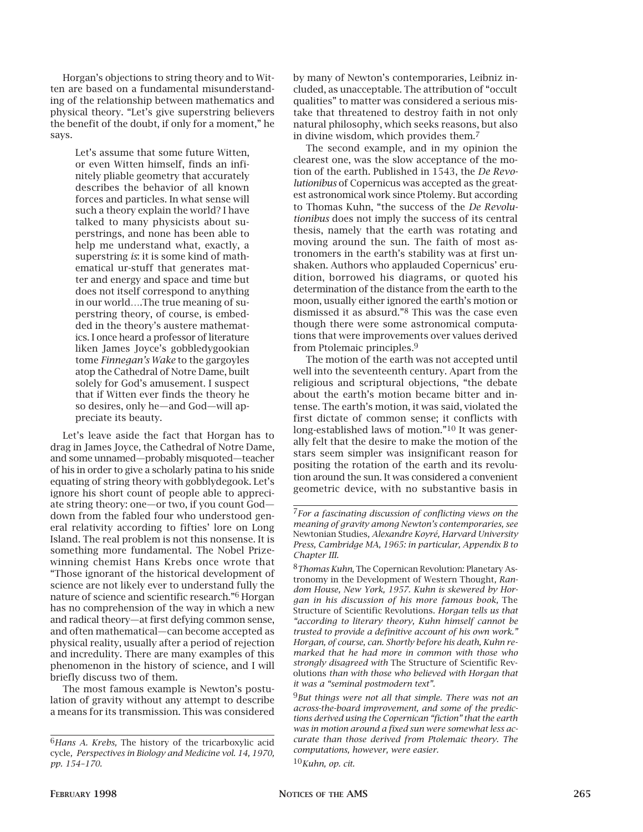Horgan's objections to string theory and to Witten are based on a fundamental misunderstanding of the relationship between mathematics and physical theory. "Let's give superstring believers the benefit of the doubt, if only for a moment," he says.

> Let's assume that some future Witten, or even Witten himself, finds an infinitely pliable geometry that accurately describes the behavior of all known forces and particles. In what sense will such a theory explain the world? I have talked to many physicists about superstrings, and none has been able to help me understand what, exactly, a superstring *is*: it is some kind of mathematical ur-stuff that generates matter and energy and space and time but does not itself correspond to anything in our world….The true meaning of superstring theory, of course, is embedded in the theory's austere mathematics. I once heard a professor of literature liken James Joyce's gobbledygookian tome *Finnegan's Wake* to the gargoyles atop the Cathedral of Notre Dame, built solely for God's amusement. I suspect that if Witten ever finds the theory he so desires, only he—and God—will appreciate its beauty.

Let's leave aside the fact that Horgan has to drag in James Joyce, the Cathedral of Notre Dame, and some unnamed—probably misquoted—teacher of his in order to give a scholarly patina to his snide equating of string theory with gobblydegook. Let's ignore his short count of people able to appreciate string theory: one—or two, if you count God down from the fabled four who understood general relativity according to fifties' lore on Long Island. The real problem is not this nonsense. It is something more fundamental. The Nobel Prizewinning chemist Hans Krebs once wrote that "Those ignorant of the historical development of science are not likely ever to understand fully the nature of science and scientific research."6 Horgan has no comprehension of the way in which a new and radical theory—at first defying common sense, and often mathematical—can become accepted as physical reality, usually after a period of rejection and incredulity. There are many examples of this phenomenon in the history of science, and I will briefly discuss two of them.

The most famous example is Newton's postulation of gravity without any attempt to describe a means for its transmission. This was considered by many of Newton's contemporaries, Leibniz included, as unacceptable. The attribution of "occult qualities" to matter was considered a serious mistake that threatened to destroy faith in not only natural philosophy, which seeks reasons, but also in divine wisdom, which provides them.7

The second example, and in my opinion the clearest one, was the slow acceptance of the motion of the earth. Published in 1543, the *De Revolutionibus* of Copernicus was accepted as the greatest astronomical work since Ptolemy. But according to Thomas Kuhn, "the success of the *De Revolutionibus* does not imply the success of its central thesis, namely that the earth was rotating and moving around the sun. The faith of most astronomers in the earth's stability was at first unshaken. Authors who applauded Copernicus' erudition, borrowed his diagrams, or quoted his determination of the distance from the earth to the moon, usually either ignored the earth's motion or dismissed it as absurd."8 This was the case even though there were some astronomical computations that were improvements over values derived from Ptolemaic principles.9

The motion of the earth was not accepted until well into the seventeenth century. Apart from the religious and scriptural objections, "the debate about the earth's motion became bitter and intense. The earth's motion, it was said, violated the first dictate of common sense; it conflicts with long-established laws of motion."10 It was generally felt that the desire to make the motion of the stars seem simpler was insignificant reason for positing the rotation of the earth and its revolution around the sun. It was considered a convenient geometric device, with no substantive basis in

10*Kuhn, op. cit.* 

<sup>6</sup>*Hans A. Krebs,* The history of the tricarboxylic acid cycle*, Perspectives in Biology and Medicine vol. 14, 1970, pp. 154–170.*

<sup>7</sup>*For a fascinating discussion of conflicting views on the meaning of gravity among Newton's contemporaries, see* Newtonian Studies*, Alexandre Koyré, Harvard University Press, Cambridge MA, 1965: in particular, Appendix B to Chapter III.*

<sup>8</sup>*Thomas Kuhn,* The Copernican Revolution: Planetary Astronomy in the Development of Western Thought*, Random House, New York, 1957. Kuhn is skewered by Horgan in his discussion of his more famous book,* The Structure of Scientific Revolutions*. Horgan tells us that "according to literary theory, Kuhn himself cannot be trusted to provide a definitive account of his own work." Horgan, of course, can. Shortly before his death, Kuhn remarked that he had more in common with those who strongly disagreed with* The Structure of Scientific Revolutions *than with those who believed with Horgan that it was a "seminal postmodern text".*

<sup>9</sup>*But things were not all that simple. There was not an across-the-board improvement, and some of the predictions derived using the Copernican "fiction" that the earth was in motion around a fixed sun were somewhat less accurate than those derived from Ptolemaic theory. The computations, however, were easier.*